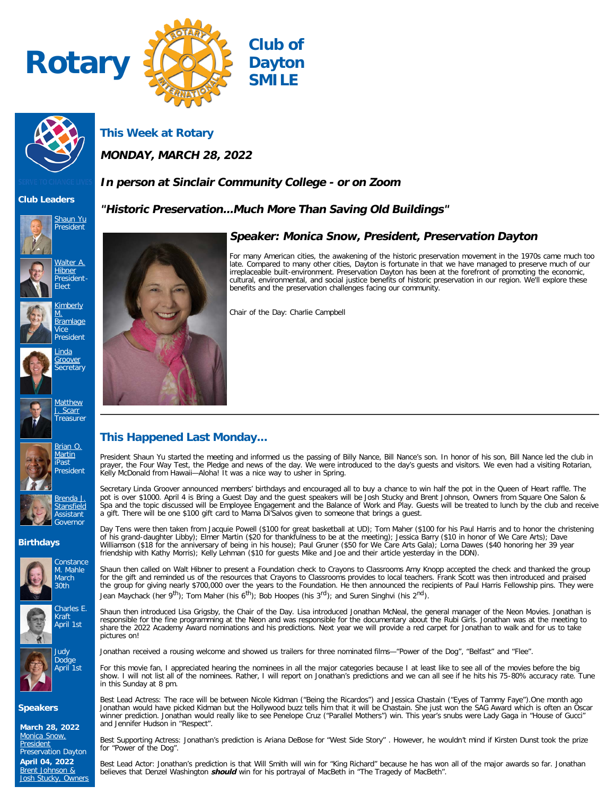



**This Week at Rotary**

**MONDAY, MARCH 28, 2022**

# **In person at Sinclair Community College - or on Zoom**

**"Historic Preservation...Much More Than Saving Old Buildings"**

### **Club Leaders**











[Groover](https://www.ismyrotaryclub.org/EMailer.cfm?ID=800280496) **Secretary** 







[Brenda J.](https://www.ismyrotaryclub.org/EMailer.cfm?ID=800254266) **[Stansfield](https://www.ismyrotaryclub.org/EMailer.cfm?ID=800254266)** Assistant Governor

### **Birthdays**







### **Speakers**

**March 28, 2022** [Monica Snow,](https://ismyrotaryclub.com/wp_api_prod_1-1/R_Event.cfm?fixTables=0&fixImages=0&EventID=77579965) **[President](https://ismyrotaryclub.com/wp_api_prod_1-1/R_Event.cfm?fixTables=0&fixImages=0&EventID=77579965)** Preservation Dayton

**April 04, 2022** [Brent Johnson &](https://ismyrotaryclub.com/wp_api_prod_1-1/R_Event.cfm?fixTables=0&fixImages=0&EventID=77579966) [Josh Stucky, Owners](https://ismyrotaryclub.com/wp_api_prod_1-1/R_Event.cfm?fixTables=0&fixImages=0&EventID=77579966)



## **Speaker: Monica Snow, President, Preservation Dayton**

For many American cities, the awakening of the historic preservation movement in the 1970s came much too late. Compared to many other cities, Dayton is fortunate in that we have managed to preserve much of our irreplaceable built-environment. Preservation Dayton has been at the forefront of promoting the economic, cultural, environmental, and social justice benefits of historic preservation in our region. We'll explore these benefits and the preservation challenges facing our community.

Chair of the Day: Charlie Campbell

# **This Happened Last Monday...**

President Shaun Yu started the meeting and informed us the passing of Billy Nance, Bill Nance's son. In honor of his son, Bill Nance led the club in<br>prayer, the Four Way Test, the Pledge and news of the day. We were introd Kelly McDonald from Hawaii—Aloha! It was a nice way to usher in Spring.

Secretary Linda Groover announced members' birthdays and encouraged all to buy a chance to win half the pot in the Queen of Heart raffle. The pot is over \$1000. April 4 is Bring a Guest Day and the guest speakers will be Josh Stucky and Brent Johnson, Owners from Square One Salon & Spa and the topic discussed will be Employee Engagement and the Balance of Work and Play. Guests will be treated to lunch by the club and receive<br>a gift. There will be one \$100 gift card to Mama Di'Salvos given to someone

Day Tens were then taken from Jacquie Powell (\$100 for great basketball at UD); Tom Maher (\$100 for his Paul Harris and to honor the christening of his grand-daughter Libby); Elmer Martin (\$20 for thankfulness to be at the meeting); Jessica Barry (\$10 in honor of We Care Arts); Dave Williamson (\$18 for the anniversary of being in his house); Paul Gruner (\$50 for We Care Arts Gala); Lorna Dawes (\$40 honoring her 39 year friendship with Kathy Morris); Kelly Lehman (\$10 for guests Mike and Joe and their article yesterday in the DDN).

Shaun then called on Walt Hibner to present a Foundation check to Crayons to Classrooms Amy Knopp accepted the check and thanked the group for the gift and reminded us of the resources that Crayons to Classrooms provides to local teachers. Frank Scott was then introduced and praised the group for giving nearly \$700,000 over the years to the Foundation. He then announced the recipients of Paul Harris Fellowship pins. They were Jean Maychack (her 9<sup>th</sup>); Tom Maher (his 6<sup>th</sup>); Bob Hoopes (his 3<sup>rd</sup>); and Suren Singhvi (his 2<sup>nd</sup>).

Shaun then introduced Lisa Grigsby, the Chair of the Day. Lisa introduced Jonathan McNeal, the general manager of the Neon Movies. Jonathan is responsible for the fine programming at the Neon and was responsible for the documentary about the Rubi Girls. Jonathan was at the meeting to share the 2022 Academy Award nominations and his predictions. Next year we will provide a red carpet for Jonathan to walk and for us to take pictures on!

Jonathan received a rousing welcome and showed us trailers for three nominated films—"Power of the Dog", "Belfast" and "Flee".

For this movie fan, I appreciated hearing the nominees in all the major categories because I at least like to see all of the movies before the big<br>show. I will not list all of the nominees. Rather, I will report on Jonatha in this Sunday at 8 pm.

Best Lead Actress: The race will be between Nicole Kidman ("Being the Ricardos") and Jessica Chastain ("Eyes of Tammy Faye").One month ago Jonathan would have picked Kidman but the Hollywood buzz tells him that it will be Chastain. She just won the SAG Award which is often an Oscar winner prediction. Jonathan would really like to see Penelope Cruz ("Parallel Mothers") win. This year's snubs were Lady Gaga in "House of Gucci" and Jennifer Hudson in "Respect".

Best Supporting Actress: Jonathan's prediction is Ariana DeBose for "West Side Story" . However, he wouldn't mind if Kirsten Dunst took the prize for "Power of the Dog".

Best Lead Actor: Jonathan's prediction is that Will Smith will win for "King Richard" because he has won all of the major awards so far. Jonathan believes that Denzel Washington *should* win for his portrayal of MacBeth in "The Tragedy of MacBeth".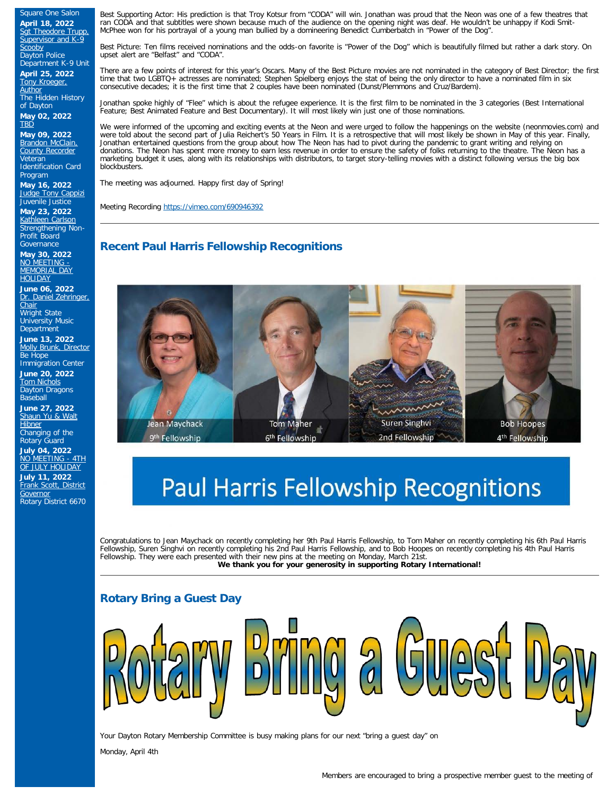Square One Salon **April 18, 2022** [Sgt Theodore Trupp,](https://ismyrotaryclub.com/wp_api_prod_1-1/R_Event.cfm?fixTables=0&fixImages=0&EventID=77579969) [Supervisor and K-9](https://ismyrotaryclub.com/wp_api_prod_1-1/R_Event.cfm?fixTables=0&fixImages=0&EventID=77579969) cooby Dayton Police Department K-9 Unit

**April 25, 2022** [Tony Kroeger,](https://ismyrotaryclub.com/wp_api_prod_1-1/R_Event.cfm?fixTables=0&fixImages=0&EventID=77579971) **[Author](https://ismyrotaryclub.com/wp_api_prod_1-1/R_Event.cfm?fixTables=0&fixImages=0&EventID=77579971)** The Hidden History of Dayton **May 02, 2022 [TBD](https://ismyrotaryclub.com/wp_api_prod_1-1/R_Event.cfm?fixTables=0&fixImages=0&EventID=77579975)** 

**May 09, 2022 [Brandon McClain,](https://ismyrotaryclub.com/wp_api_prod_1-1/R_Event.cfm?fixTables=0&fixImages=0&EventID=77579974)** [County Recorder](https://ismyrotaryclub.com/wp_api_prod_1-1/R_Event.cfm?fixTables=0&fixImages=0&EventID=77579974) Veteran Identification Card Program

**May 16, 2022** [Judge Tony Cappizi](https://ismyrotaryclub.com/wp_api_prod_1-1/R_Event.cfm?fixTables=0&fixImages=0&EventID=77579976) Juvenile Justice

**May 23, 2022** [Kathleen Carlson](https://ismyrotaryclub.com/wp_api_prod_1-1/R_Event.cfm?fixTables=0&fixImages=0&EventID=77579977) Strengthening Non-Profit Board **Governance** 

**May 30, 2022** [NO MEETING -](https://ismyrotaryclub.com/wp_api_prod_1-1/R_Event.cfm?fixTables=0&fixImages=0&EventID=77579978) [MEMORIAL DAY](https://ismyrotaryclub.com/wp_api_prod_1-1/R_Event.cfm?fixTables=0&fixImages=0&EventID=77579978) **[HOLIDAY](https://ismyrotaryclub.com/wp_api_prod_1-1/R_Event.cfm?fixTables=0&fixImages=0&EventID=77579978)** 

**June 06, 2022** [Dr. Daniel Zehringer,](https://ismyrotaryclub.com/wp_api_prod_1-1/R_Event.cfm?fixTables=0&fixImages=0&EventID=77579979) [Chair](https://ismyrotaryclub.com/wp_api_prod_1-1/R_Event.cfm?fixTables=0&fixImages=0&EventID=77579979) Wright State University Music **Department** 

**June 13, 2022** [Molly Brunk, Director](https://ismyrotaryclub.com/wp_api_prod_1-1/R_Event.cfm?fixTables=0&fixImages=0&EventID=77579980) Be Hope Immigration Center

**June 20, 2022** [Tom Nichols](https://ismyrotaryclub.com/wp_api_prod_1-1/R_Event.cfm?fixTables=0&fixImages=0&EventID=77579981) Dayton Dragons

**Baseball June 27, 2022** [Shaun Yu & Walt](https://ismyrotaryclub.com/wp_api_prod_1-1/R_Event.cfm?fixTables=0&fixImages=0&EventID=77579982) **[Hibner](https://ismyrotaryclub.com/wp_api_prod_1-1/R_Event.cfm?fixTables=0&fixImages=0&EventID=77579982)** 

Changing of the Rotary Guard **July 04, 2022**

<u>[NO MEETING - 4TH](https://ismyrotaryclub.com/wp_api_prod_1-1/R_Event.cfm?fixTables=0&fixImages=0&EventID=77580025)</u> [OF JULY HOLIDAY](https://ismyrotaryclub.com/wp_api_prod_1-1/R_Event.cfm?fixTables=0&fixImages=0&EventID=77580025) **July 11, 2022** [Frank Scott, District](https://ismyrotaryclub.com/wp_api_prod_1-1/R_Event.cfm?fixTables=0&fixImages=0&EventID=77580026)

**[Governor](https://ismyrotaryclub.com/wp_api_prod_1-1/R_Event.cfm?fixTables=0&fixImages=0&EventID=77580026)** Rotary District 6670 Best Supporting Actor: His prediction is that Troy Kotsur from "CODA" will win. Jonathan was proud that the Neon was one of a few theatres that ran CODA and that subtitles were shown because much of the audience on the opening night was deaf. He wouldn't be unhappy if Kodi Smit-McPhee won for his portrayal of a young man bullied by a domineering Benedict Cumberbatch in "Power of the Dog".

Best Picture: Ten films received nominations and the odds-on favorite is "Power of the Dog" which is beautifully filmed but rather a dark story. On upset alert are "Belfast" and "CODA".

There are a few points of interest for this year's Oscars. Many of the Best Picture movies are not nominated in the category of Best Director; the first time that two LGBTQ+ actresses are nominated; Stephen Spielberg enjoys the stat of being the only director to have a nominated film in six consecutive decades; it is the first time that 2 couples have been nominated (Dunst/Plemmons and Cruz/Bardem).

Jonathan spoke highly of "Flee" which is about the refugee experience. It is the first film to be nominated in the 3 categories (Best International Feature; Best Animated Feature and Best Documentary). It will most likely win just one of those nominations.

We were informed of the upcoming and exciting events at the Neon and were urged to follow the happenings on the website (neonmovies.com) and were told about the second part of Julia Reichert's 50 Years in Film. It is a retrospective that will most likely be shown in May of this year. Finally, Jonathan entertained questions from the group about how The Neon has had to pivot during the pandemic to grant writing and relying on donations. The Neon has spent more money to earn less revenue in order to ensure the safety of folks returning to the theatre. The Neon has a marketing budget it uses, along with its relationships with distributors, to target story-telling movies with a distinct following versus the big box blockbusters.

The meeting was adjourned. Happy first day of Spring!

Meeting Recording <https://vimeo.com/690946392>

# **Recent Paul Harris Fellowship Recognitions**



# **Paul Harris Fellowship Recognitions**

Congratulations to Jean Maychack on recently completing her 9th Paul Harris Fellowship, to Tom Maher on recently completing his 6th Paul Harris Fellowship, Suren Singhvi on recently completing his 2nd Paul Harris Fellowship, and to Bob Hoopes on recently completing his 4th Paul Harris Fellowship. They were each presented with their new pins at the meeting on Monday, March 21st. **We thank you for your generosity in supporting Rotary International!**

# **Rotary Bring a Guest Day**



Your Dayton Rotary Membership Committee is busy making plans for our next "bring a guest day" on

Monday, April 4th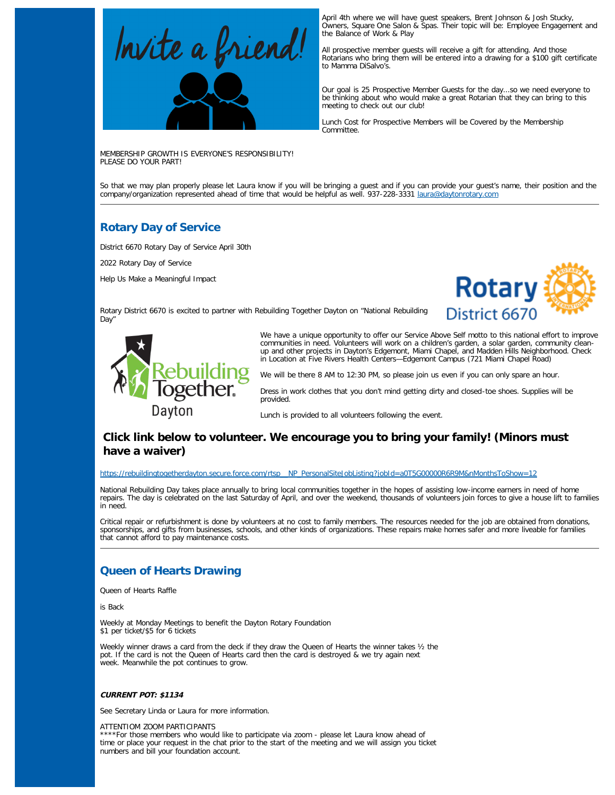

April 4th where we will have guest speakers, Brent Johnson & Josh Stucky, Owners, Square One Salon & Spas. Their topic will be: Employee Engagement and the Balance of Work & Play

All prospective member guests will receive a gift for attending. And those Rotarians who bring them will be entered into a drawing for a \$100 gift certificate to Mamma DiSalvo's.

Our goal is 25 Prospective Member Guests for the day...so we need everyone to be thinking about who would make a great Rotarian that they can bring to this meeting to check out our club!

Lunch Cost for Prospective Members will be Covered by the Membership Committee.

MEMBERSHIP GROWTH IS EVERYONE'S RESPONSIBILITY! PLEASE DO YOUR PART!

So that we may plan properly please let Laura know if you will be bringing a guest and if you can provide your guest's name, their position and the<br>company/organization represented ahead of time that would be helpful as we

# **Rotary Day of Service**

District 6670 Rotary Day of Service April 30th

2022 Rotary Day of Service

Help Us Make a Meaningful Impact



Rotary District 6670 is excited to partner with Rebuilding Together Dayton on "National Rebuilding Day"



We have a unique opportunity to offer our Service Above Self motto to this national effort to improve communities in need. Volunteers will work on a children's garden, a solar garden, community cleanup and other projects in Dayton's Edgemont, Miami Chapel, and Madden Hills Neighborhood. Check in Location at Five Rivers Health Centers—Edgemont Campus (721 Miami Chapel Road)

We will be there 8 AM to 12:30 PM, so please join us even if you can only spare an hour.

Dress in work clothes that you don't mind getting dirty and closed-toe shoes. Supplies will be provided.

Lunch is provided to all volunteers following the event.

## **Click link below to volunteer. We encourage you to bring your family! (Minors must have a waiver)**

#### [https://rebuildingtogetherdayton.secure.force.com/rtsp\\_\\_NP\\_PersonalSiteJobListing?jobId=a0T5G00000R6R9M&nMonthsToShow=12](https://rebuildingtogetherdayton.secure.force.com/rtsp__NP_PersonalSiteJobListing?jobId=a0T5G00000R6R9M&nMonthsToShow=12)

National Rebuilding Day takes place annually to bring local communities together in the hopes of assisting low-income earners in need of home repairs. The day is celebrated on the last Saturday of April, and over the weekend, thousands of volunteers join forces to give a house lift to families in need.

Critical repair or refurbishment is done by volunteers at no cost to family members. The resources needed for the job are obtained from donations, sponsorships, and gifts from businesses, schools, and other kinds of organizations. These repairs make homes safer and more liveable for families that cannot afford to pay maintenance costs.

## **Queen of Hearts Drawing**

Queen of Hearts Raffle

is Back

Weekly at Monday Meetings to benefit the Dayton Rotary Foundation \$1 per ticket/\$5 for 6 tickets

Weekly winner draws a card from the deck if they draw the Queen of Hearts the winner takes ½ the pot. If the card is not the Queen of Hearts card then the card is destroyed & we try again next week. Meanwhile the pot continues to grow.

### **CURRENT POT: \$1134**

See Secretary Linda or Laura for more information.

ATTENTIOM ZOOM PARTICIPANTS

\*\*For those members who would like to participate via zoom - please let Laura know ahead of time or place your request in the chat prior to the start of the meeting and we will assign you ticket numbers and bill your foundation account.